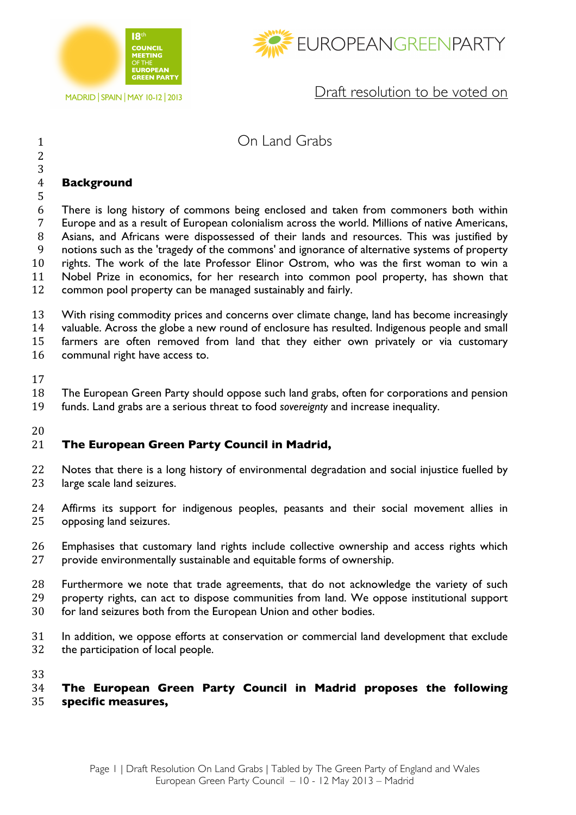





Draft resolution to be voted on

## On Land Grabs

## **Background**

 There is long history of commons being enclosed and taken from commoners both within Europe and as a result of European colonialism across the world. Millions of native Americans, Asians, and Africans were dispossessed of their lands and resources. This was justified by notions such as the 'tragedy of the commons' and ignorance of alternative systems of property rights. The work of the late Professor Elinor Ostrom, who was the first woman to win a Nobel Prize in economics, for her research into common pool property, has shown that common pool property can be managed sustainably and fairly.

 With rising commodity prices and concerns over climate change, land has become increasingly valuable. Across the globe a new round of enclosure has resulted. Indigenous people and small

farmers are often removed from land that they either own privately or via customary

communal right have access to.

The European Green Party should oppose such land grabs, often for corporations and pension

funds. Land grabs are a serious threat to food *sovereignty* and increase inequality.

## 

## **The European Green Party Council in Madrid,**

- 22 Notes that there is a long history of environmental degradation and social injustice fuelled by 23 large scale land seizures.
- Affirms its support for indigenous peoples, peasants and their social movement allies in opposing land seizures.
- Emphasises that customary land rights include collective ownership and access rights which provide environmentally sustainable and equitable forms of ownership.
- Furthermore we note that trade agreements, that do not acknowledge the variety of such property rights, can act to dispose communities from land. We oppose institutional support for land seizures both from the European Union and other bodies.
- In addition, we oppose efforts at conservation or commercial land development that exclude
- the participation of local people.

 **The European Green Party Council in Madrid proposes the following specific measures,**